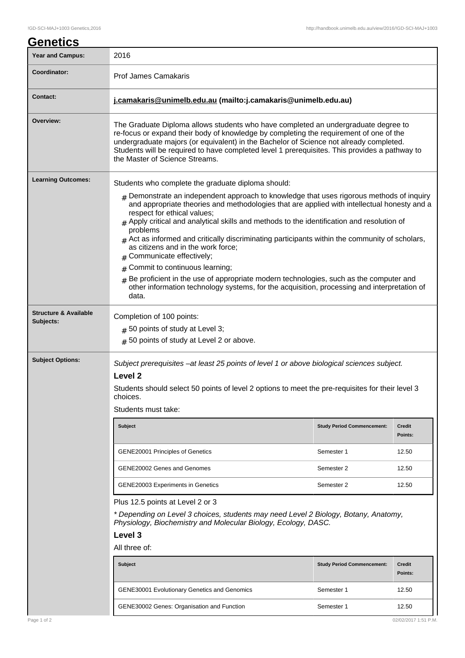| <b>Genetics</b>                  |                                                                                                                                                                                                                                                                                                                                                                                                                                                                                                                 |                                   |                          |  |  |
|----------------------------------|-----------------------------------------------------------------------------------------------------------------------------------------------------------------------------------------------------------------------------------------------------------------------------------------------------------------------------------------------------------------------------------------------------------------------------------------------------------------------------------------------------------------|-----------------------------------|--------------------------|--|--|
| <b>Year and Campus:</b>          | 2016                                                                                                                                                                                                                                                                                                                                                                                                                                                                                                            |                                   |                          |  |  |
| Coordinator:                     | <b>Prof James Camakaris</b>                                                                                                                                                                                                                                                                                                                                                                                                                                                                                     |                                   |                          |  |  |
| <b>Contact:</b>                  | j.camakaris@unimelb.edu.au (mailto:j.camakaris@unimelb.edu.au)                                                                                                                                                                                                                                                                                                                                                                                                                                                  |                                   |                          |  |  |
| Overview:                        | The Graduate Diploma allows students who have completed an undergraduate degree to<br>re-focus or expand their body of knowledge by completing the requirement of one of the<br>undergraduate majors (or equivalent) in the Bachelor of Science not already completed.<br>Students will be required to have completed level 1 prerequisites. This provides a pathway to<br>the Master of Science Streams.                                                                                                       |                                   |                          |  |  |
| <b>Learning Outcomes:</b>        | Students who complete the graduate diploma should:                                                                                                                                                                                                                                                                                                                                                                                                                                                              |                                   |                          |  |  |
|                                  | $#$ Demonstrate an independent approach to knowledge that uses rigorous methods of inquiry<br>and appropriate theories and methodologies that are applied with intellectual honesty and a<br>respect for ethical values;<br>$#$ Apply critical and analytical skills and methods to the identification and resolution of<br>problems<br>$#$ Act as informed and critically discriminating participants within the community of scholars,<br>as citizens and in the work force;<br>Communicate effectively;<br># |                                   |                          |  |  |
|                                  | Commit to continuous learning;<br>#                                                                                                                                                                                                                                                                                                                                                                                                                                                                             |                                   |                          |  |  |
|                                  | Be proficient in the use of appropriate modern technologies, such as the computer and<br>$\#$<br>other information technology systems, for the acquisition, processing and interpretation of<br>data.                                                                                                                                                                                                                                                                                                           |                                   |                          |  |  |
| <b>Structure &amp; Available</b> | Completion of 100 points:                                                                                                                                                                                                                                                                                                                                                                                                                                                                                       |                                   |                          |  |  |
| Subjects:                        | $#$ 50 points of study at Level 3;                                                                                                                                                                                                                                                                                                                                                                                                                                                                              |                                   |                          |  |  |
|                                  | # 50 points of study at Level 2 or above.                                                                                                                                                                                                                                                                                                                                                                                                                                                                       |                                   |                          |  |  |
| <b>Subject Options:</b>          | Subject prerequisites -at least 25 points of level 1 or above biological sciences subject.<br>Level <sub>2</sub>                                                                                                                                                                                                                                                                                                                                                                                                |                                   |                          |  |  |
|                                  | Students should select 50 points of level 2 options to meet the pre-requisites for their level 3<br>choices.                                                                                                                                                                                                                                                                                                                                                                                                    |                                   |                          |  |  |
|                                  | Students must take:                                                                                                                                                                                                                                                                                                                                                                                                                                                                                             |                                   |                          |  |  |
|                                  | <b>Subject</b>                                                                                                                                                                                                                                                                                                                                                                                                                                                                                                  | <b>Study Period Commencement:</b> | Credit<br>Points:        |  |  |
|                                  | <b>GENE20001 Principles of Genetics</b>                                                                                                                                                                                                                                                                                                                                                                                                                                                                         | Semester 1                        | 12.50                    |  |  |
|                                  | GENE20002 Genes and Genomes                                                                                                                                                                                                                                                                                                                                                                                                                                                                                     | Semester 2                        | 12.50                    |  |  |
|                                  | <b>GENE20003 Experiments in Genetics</b>                                                                                                                                                                                                                                                                                                                                                                                                                                                                        | Semester 2                        | 12.50                    |  |  |
|                                  | Plus 12.5 points at Level 2 or 3                                                                                                                                                                                                                                                                                                                                                                                                                                                                                |                                   |                          |  |  |
|                                  | * Depending on Level 3 choices, students may need Level 2 Biology, Botany, Anatomy,<br>Physiology, Biochemistry and Molecular Biology, Ecology, DASC.                                                                                                                                                                                                                                                                                                                                                           |                                   |                          |  |  |
|                                  | Level 3                                                                                                                                                                                                                                                                                                                                                                                                                                                                                                         |                                   |                          |  |  |
|                                  | All three of:                                                                                                                                                                                                                                                                                                                                                                                                                                                                                                   |                                   |                          |  |  |
|                                  | <b>Subject</b>                                                                                                                                                                                                                                                                                                                                                                                                                                                                                                  | <b>Study Period Commencement:</b> | <b>Credit</b><br>Points: |  |  |
|                                  | <b>GENE30001 Evolutionary Genetics and Genomics</b>                                                                                                                                                                                                                                                                                                                                                                                                                                                             | Semester 1                        | 12.50                    |  |  |

GENE30002 Genes: Organisation and Function Semester 1 12.50